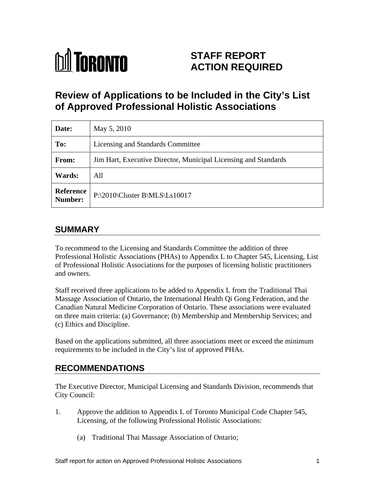

# **STAFF REPORT ACTION REQUIRED**

# **Review of Applications to be Included in the City's List of Approved Professional Holistic Associations**

| Date:                       | May 5, 2010                                                     |
|-----------------------------|-----------------------------------------------------------------|
| To:                         | Licensing and Standards Committee                               |
| From:                       | Jim Hart, Executive Director, Municipal Licensing and Standards |
| <b>Wards:</b>               | All                                                             |
| <b>Reference</b><br>Number: | $ P:\2010\backslash Cluster B\backslash MLS\backslash Ls10017$  |

# **SUMMARY**

To recommend to the Licensing and Standards Committee the addition of three Professional Holistic Associations (PHAs) to Appendix L to Chapter 545, Licensing, List of Professional Holistic Associations for the purposes of licensing holistic practitioners and owners.

Staff received three applications to be added to Appendix L from the Traditional Thai Massage Association of Ontario, the International Health Qi Gong Federation, and the Canadian Natural Medicine Corporation of Ontario. These associations were evaluated on three main criteria: (a) Governance; (b) Membership and Membership Services; and (c) Ethics and Discipline.

Based on the applications submitted, all three associations meet or exceed the minimum requirements to be included in the City's list of approved PHAs.

### **RECOMMENDATIONS**

The Executive Director, Municipal Licensing and Standards Division, recommends that City Council:

- 1. Approve the addition to Appendix L of Toronto Municipal Code Chapter 545, Licensing, of the following Professional Holistic Associations:
	- (a) Traditional Thai Massage Association of Ontario;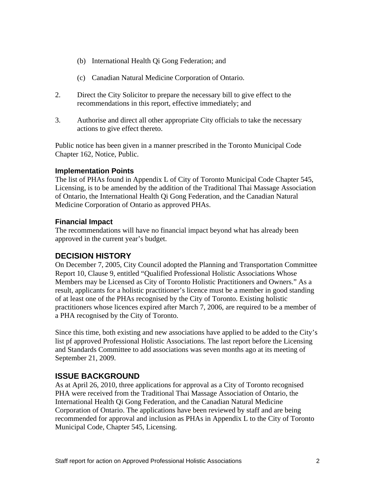- (b) International Health Qi Gong Federation; and
- (c) Canadian Natural Medicine Corporation of Ontario.
- 2. Direct the City Solicitor to prepare the necessary bill to give effect to the recommendations in this report, effective immediately; and
- 3. Authorise and direct all other appropriate City officials to take the necessary actions to give effect thereto.

Public notice has been given in a manner prescribed in the Toronto Municipal Code Chapter 162, Notice, Public.

#### **Implementation Points**

The list of PHAs found in Appendix L of City of Toronto Municipal Code Chapter 545, Licensing, is to be amended by the addition of the Traditional Thai Massage Association of Ontario, the International Health Qi Gong Federation, and the Canadian Natural Medicine Corporation of Ontario as approved PHAs.

#### **Financial Impact**

The recommendations will have no financial impact beyond what has already been approved in the current year's budget.

#### **DECISION HISTORY**

On December 7, 2005, City Council adopted the Planning and Transportation Committee Report 10, Clause 9, entitled "Qualified Professional Holistic Associations Whose Members may be Licensed as City of Toronto Holistic Practitioners and Owners." As a result, applicants for a holistic practitioner's licence must be a member in good standing of at least one of the PHAs recognised by the City of Toronto. Existing holistic practitioners whose licences expired after March 7, 2006, are required to be a member of a PHA recognised by the City of Toronto.

Since this time, both existing and new associations have applied to be added to the City's list pf approved Professional Holistic Associations. The last report before the Licensing and Standards Committee to add associations was seven months ago at its meeting of September 21, 2009.

### **ISSUE BACKGROUND**

As at April 26, 2010, three applications for approval as a City of Toronto recognised PHA were received from the Traditional Thai Massage Association of Ontario, the International Health Qi Gong Federation, and the Canadian Natural Medicine Corporation of Ontario. The applications have been reviewed by staff and are being recommended for approval and inclusion as PHAs in Appendix L to the City of Toronto Municipal Code, Chapter 545, Licensing.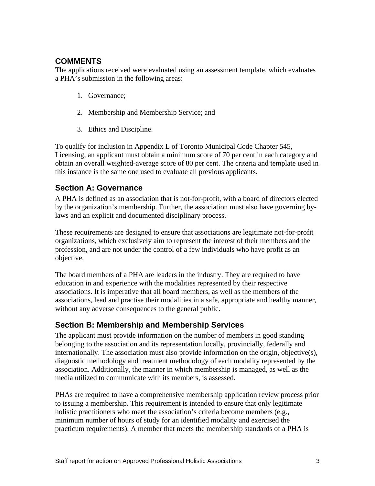## **COMMENTS**

The applications received were evaluated using an assessment template, which evaluates a PHA's submission in the following areas:

- 1. Governance;
- 2. Membership and Membership Service; and
- 3. Ethics and Discipline.

To qualify for inclusion in Appendix L of Toronto Municipal Code Chapter 545, Licensing, an applicant must obtain a minimum score of 70 per cent in each category and obtain an overall weighted-average score of 80 per cent. The criteria and template used in this instance is the same one used to evaluate all previous applicants.

## **Section A: Governance**

A PHA is defined as an association that is not-for-profit, with a board of directors elected by the organization's membership. Further, the association must also have governing bylaws and an explicit and documented disciplinary process.

These requirements are designed to ensure that associations are legitimate not-for-profit organizations, which exclusively aim to represent the interest of their members and the profession, and are not under the control of a few individuals who have profit as an objective.

The board members of a PHA are leaders in the industry. They are required to have education in and experience with the modalities represented by their respective associations. It is imperative that all board members, as well as the members of the associations, lead and practise their modalities in a safe, appropriate and healthy manner, without any adverse consequences to the general public.

### **Section B: Membership and Membership Services**

The applicant must provide information on the number of members in good standing belonging to the association and its representation locally, provincially, federally and internationally. The association must also provide information on the origin, objective(s), diagnostic methodology and treatment methodology of each modality represented by the association. Additionally, the manner in which membership is managed, as well as the media utilized to communicate with its members, is assessed.

PHAs are required to have a comprehensive membership application review process prior to issuing a membership. This requirement is intended to ensure that only legitimate holistic practitioners who meet the association's criteria become members (e.g., minimum number of hours of study for an identified modality and exercised the practicum requirements). A member that meets the membership standards of a PHA is